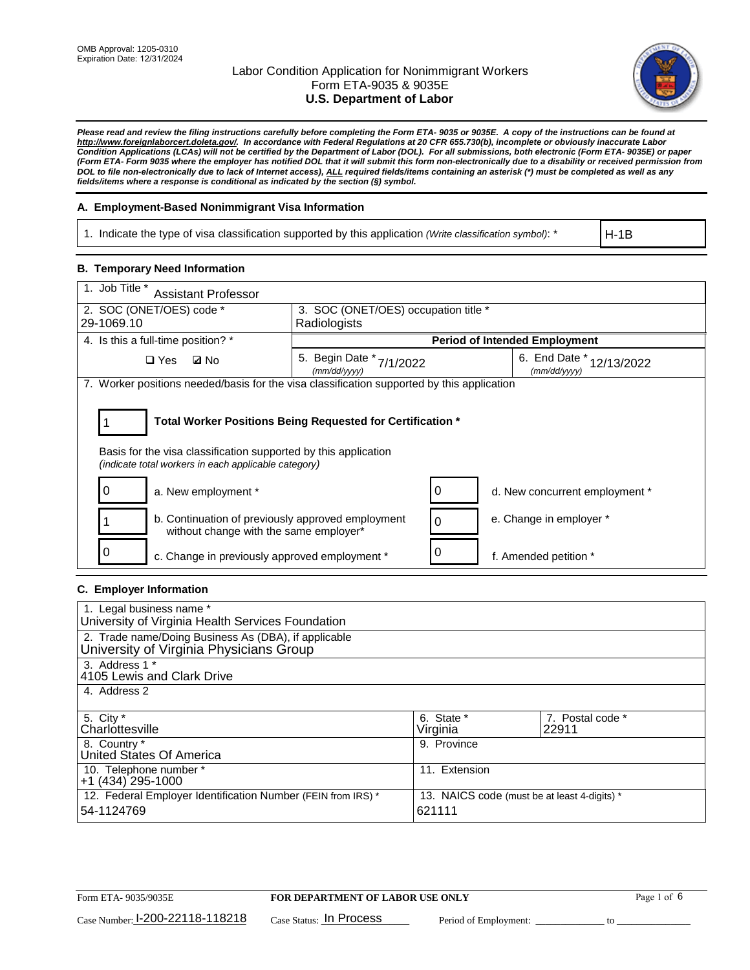

*Please read and review the filing instructions carefully before completing the Form ETA- 9035 or 9035E. A copy of the instructions can be found at [http://www.foreignlaborcert.doleta.gov/.](http://www.foreignlaborcert.doleta.gov/) In accordance with Federal Regulations at 20 CFR 655.730(b), incomplete or obviously inaccurate Labor Condition Applications (LCAs) will not be certified by the Department of Labor (DOL). For all submissions, both electronic (Form ETA- 9035E) or paper (Form ETA- Form 9035 where the employer has notified DOL that it will submit this form non-electronically due to a disability or received permission from DOL to file non-electronically due to lack of Internet access), ALL required fields/items containing an asterisk (\*) must be completed as well as any fields/items where a response is conditional as indicated by the section (§) symbol.* 

## **A. Employment-Based Nonimmigrant Visa Information**

1. Indicate the type of visa classification supported by this application *(Write classification symbol)*: \*

H-1B

## **B. Temporary Need Information**

| 1. Job Title *<br><b>Assistant Professor</b>                                                                                                                                          |                                             |                                      |                                            |  |  |
|---------------------------------------------------------------------------------------------------------------------------------------------------------------------------------------|---------------------------------------------|--------------------------------------|--------------------------------------------|--|--|
| 2. SOC (ONET/OES) code *                                                                                                                                                              |                                             | 3. SOC (ONET/OES) occupation title * |                                            |  |  |
| 29-1069.10                                                                                                                                                                            | Radiologists                                |                                      |                                            |  |  |
| 4. Is this a full-time position? *                                                                                                                                                    |                                             |                                      | <b>Period of Intended Employment</b>       |  |  |
| <b>Ø</b> No<br>$\square$ Yes                                                                                                                                                          | 5. Begin Date *<br>7/1/2022<br>(mm/dd/yyyy) |                                      | 6. End Date $*$ 12/13/2022<br>(mm/dd/yyyy) |  |  |
| 7. Worker positions needed/basis for the visa classification supported by this application                                                                                            |                                             |                                      |                                            |  |  |
| Total Worker Positions Being Requested for Certification *<br>Basis for the visa classification supported by this application<br>(indicate total workers in each applicable category) |                                             |                                      |                                            |  |  |
| 0<br>a. New employment *                                                                                                                                                              |                                             | 0                                    | d. New concurrent employment *             |  |  |
| b. Continuation of previously approved employment<br>without change with the same employer*                                                                                           |                                             | $\Omega$                             | e. Change in employer *                    |  |  |
| O<br>c. Change in previously approved employment *                                                                                                                                    |                                             | 0                                    | f. Amended petition *                      |  |  |

## **C. Employer Information**

| 1. Legal business name *                                     |                                              |                  |
|--------------------------------------------------------------|----------------------------------------------|------------------|
| University of Virginia Health Services Foundation            |                                              |                  |
| 2. Trade name/Doing Business As (DBA), if applicable         |                                              |                  |
| University of Virginia Physicians Group                      |                                              |                  |
| 3. Address 1 *                                               |                                              |                  |
| 4105 Lewis and Clark Drive                                   |                                              |                  |
| 4. Address 2                                                 |                                              |                  |
|                                                              |                                              |                  |
| 5. City *                                                    | 6. State *                                   | 7. Postal code * |
| Charlottesville                                              | Virginia                                     | 22911            |
| 8. Country *                                                 | 9. Province                                  |                  |
| United States Of America                                     |                                              |                  |
| 10. Telephone number *                                       | 11. Extension                                |                  |
| +1 (434) 295-1000                                            |                                              |                  |
| 12. Federal Employer Identification Number (FEIN from IRS) * | 13. NAICS code (must be at least 4-digits) * |                  |
| 54-1124769                                                   | 621111                                       |                  |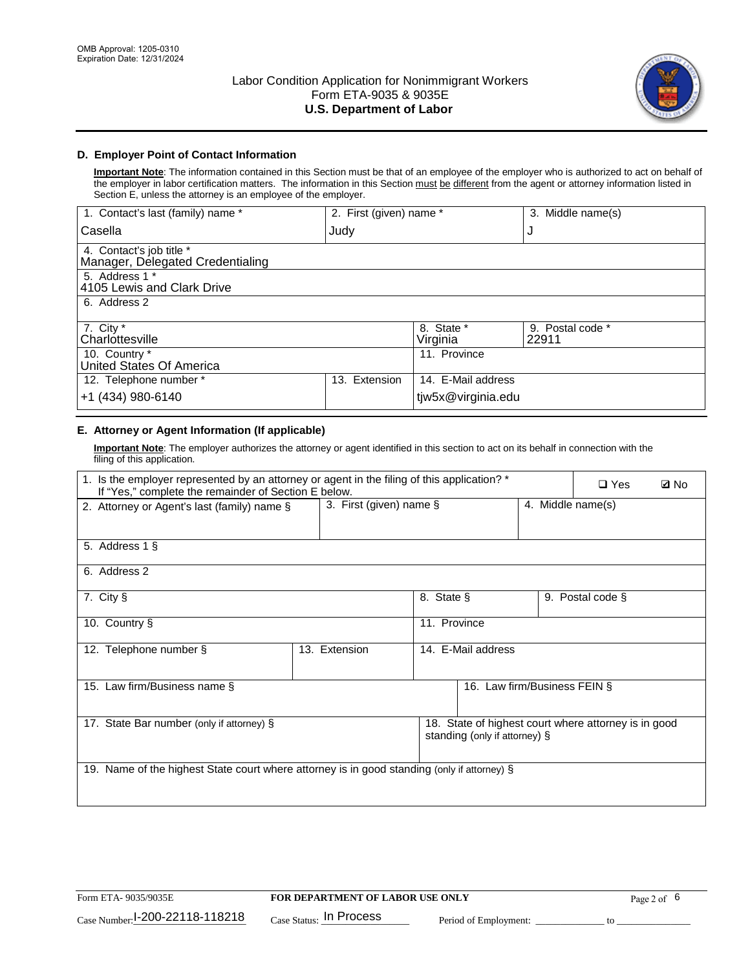

## **D. Employer Point of Contact Information**

**Important Note**: The information contained in this Section must be that of an employee of the employer who is authorized to act on behalf of the employer in labor certification matters. The information in this Section must be different from the agent or attorney information listed in Section E, unless the attorney is an employee of the employer.

| 1. Contact's last (family) name *                            | 2. First (given) name * |                        | 3. Middle name(s)         |
|--------------------------------------------------------------|-------------------------|------------------------|---------------------------|
| Casella                                                      | Judy                    |                        | J                         |
| 4. Contact's job title *<br>Manager, Delegated Credentialing |                         |                        |                           |
| 5. Address 1 *<br>4105 Lewis and Clark Drive                 |                         |                        |                           |
| 6. Address 2                                                 |                         |                        |                           |
| 7. City $*$<br>Charlottesville                               |                         | 8. State *<br>Virginia | 9. Postal code *<br>22911 |
| 10. Country *<br>United States Of America                    |                         | 11. Province           |                           |
| 12. Telephone number *                                       | Extension<br>13.        | 14. E-Mail address     |                           |
| +1 (434) 980-6140                                            |                         | tjw5x@virginia.edu     |                           |

## **E. Attorney or Agent Information (If applicable)**

**Important Note**: The employer authorizes the attorney or agent identified in this section to act on its behalf in connection with the filing of this application.

| 1. Is the employer represented by an attorney or agent in the filing of this application? *<br>If "Yes," complete the remainder of Section E below. |                         |              |                               |                   | $\square$ Yes                                        | <b>ØNo</b> |
|-----------------------------------------------------------------------------------------------------------------------------------------------------|-------------------------|--------------|-------------------------------|-------------------|------------------------------------------------------|------------|
| 2. Attorney or Agent's last (family) name §                                                                                                         | 3. First (given) name § |              |                               | 4. Middle name(s) |                                                      |            |
| 5. Address 1 §                                                                                                                                      |                         |              |                               |                   |                                                      |            |
| 6. Address 2                                                                                                                                        |                         |              |                               |                   |                                                      |            |
| 7. City §                                                                                                                                           |                         | 8. State §   |                               |                   | 9. Postal code §                                     |            |
| 10. Country §                                                                                                                                       |                         | 11. Province |                               |                   |                                                      |            |
| 12. Telephone number §                                                                                                                              | 13. Extension           |              | 14. E-Mail address            |                   |                                                      |            |
| 15. Law firm/Business name §                                                                                                                        |                         |              | 16. Law firm/Business FEIN §  |                   |                                                      |            |
| 17. State Bar number (only if attorney) §                                                                                                           |                         |              | standing (only if attorney) § |                   | 18. State of highest court where attorney is in good |            |
| 19. Name of the highest State court where attorney is in good standing (only if attorney) §                                                         |                         |              |                               |                   |                                                      |            |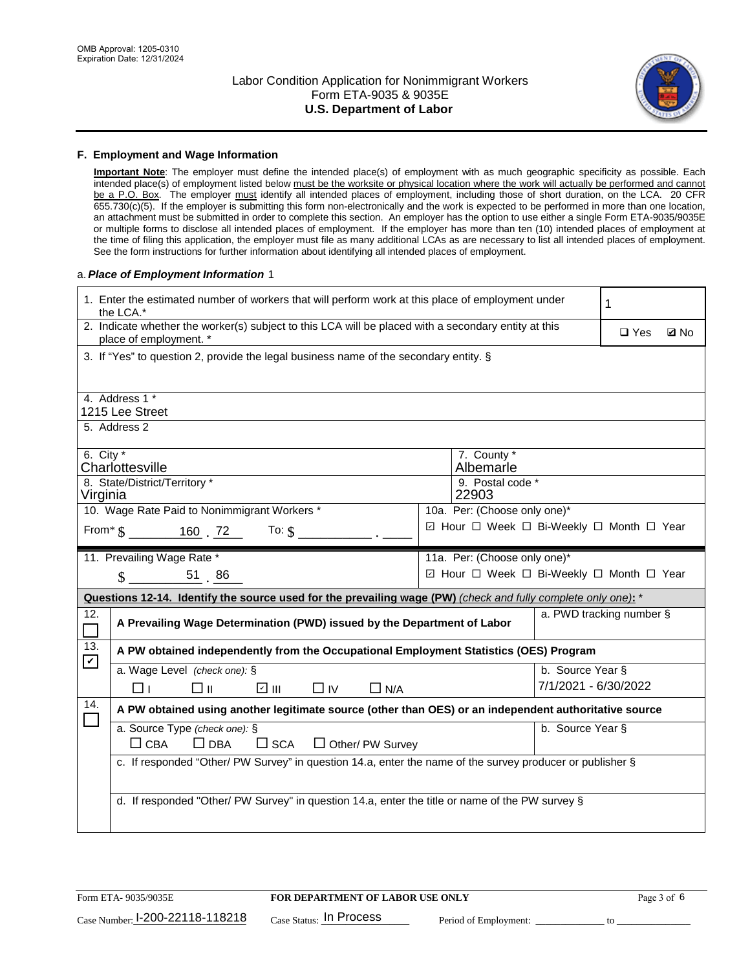

#### **F. Employment and Wage Information**

**Important Note**: The employer must define the intended place(s) of employment with as much geographic specificity as possible. Each intended place(s) of employment listed below must be the worksite or physical location where the work will actually be performed and cannot be a P.O. Box. The employer must identify all intended places of employment, including those of short duration, on the LCA. 20 CFR 655.730(c)(5). If the employer is submitting this form non-electronically and the work is expected to be performed in more than one location, an attachment must be submitted in order to complete this section. An employer has the option to use either a single Form ETA-9035/9035E or multiple forms to disclose all intended places of employment. If the employer has more than ten (10) intended places of employment at the time of filing this application, the employer must file as many additional LCAs as are necessary to list all intended places of employment. See the form instructions for further information about identifying all intended places of employment.

#### a.*Place of Employment Information* 1

|                    | 1. Enter the estimated number of workers that will perform work at this place of employment under<br>the LCA.*                 |  |                                          |                          |  |             |  |
|--------------------|--------------------------------------------------------------------------------------------------------------------------------|--|------------------------------------------|--------------------------|--|-------------|--|
|                    | 2. Indicate whether the worker(s) subject to this LCA will be placed with a secondary entity at this<br>place of employment. * |  |                                          |                          |  | <b>Z</b> No |  |
|                    | 3. If "Yes" to question 2, provide the legal business name of the secondary entity. §                                          |  |                                          |                          |  |             |  |
|                    | 4. Address 1 *                                                                                                                 |  |                                          |                          |  |             |  |
|                    | 1215 Lee Street                                                                                                                |  |                                          |                          |  |             |  |
|                    | 5. Address 2                                                                                                                   |  |                                          |                          |  |             |  |
| 6. City $*$        |                                                                                                                                |  | 7. County *                              |                          |  |             |  |
|                    | Charlottesville                                                                                                                |  | Albemarle                                |                          |  |             |  |
| Virginia           | 8. State/District/Territory *                                                                                                  |  | 9. Postal code *<br>22903                |                          |  |             |  |
|                    | 10. Wage Rate Paid to Nonimmigrant Workers *                                                                                   |  | 10a. Per: (Choose only one)*             |                          |  |             |  |
|                    |                                                                                                                                |  | ☑ Hour □ Week □ Bi-Weekly □ Month □ Year |                          |  |             |  |
|                    | From $\frac{160}{160}$ . $\frac{72}{160}$ To: $\frac{1}{9}$                                                                    |  |                                          |                          |  |             |  |
|                    | 11. Prevailing Wage Rate *                                                                                                     |  | 11a. Per: (Choose only one)*             |                          |  |             |  |
|                    | $\text{\AA}$ 51 86                                                                                                             |  | ☑ Hour □ Week □ Bi-Weekly □ Month □ Year |                          |  |             |  |
|                    | Questions 12-14. Identify the source used for the prevailing wage (PW) (check and fully complete only one): *                  |  |                                          |                          |  |             |  |
| 12.                | A Prevailing Wage Determination (PWD) issued by the Department of Labor                                                        |  |                                          | a. PWD tracking number § |  |             |  |
| 13.<br>$\mathbf v$ | A PW obtained independently from the Occupational Employment Statistics (OES) Program                                          |  |                                          |                          |  |             |  |
|                    | a. Wage Level (check one): §                                                                                                   |  |                                          | b. Source Year §         |  |             |  |
|                    | ☑ Ⅲ<br>□⊪<br>$\Box$ IV<br>$\Box$ N/A<br>□⊥                                                                                     |  |                                          | 7/1/2021 - 6/30/2022     |  |             |  |
| 14.                | A PW obtained using another legitimate source (other than OES) or an independent authoritative source                          |  |                                          |                          |  |             |  |
|                    | a. Source Type (check one): §                                                                                                  |  |                                          | b. Source Year §         |  |             |  |
|                    | $\Box$ CBA<br>$\Box$ DBA<br>$\square$ SCA<br>$\Box$ Other/ PW Survey                                                           |  |                                          |                          |  |             |  |
|                    | c. If responded "Other/ PW Survey" in question 14.a, enter the name of the survey producer or publisher §                      |  |                                          |                          |  |             |  |
|                    |                                                                                                                                |  |                                          |                          |  |             |  |
|                    | d. If responded "Other/ PW Survey" in question 14.a, enter the title or name of the PW survey §                                |  |                                          |                          |  |             |  |
|                    |                                                                                                                                |  |                                          |                          |  |             |  |
|                    |                                                                                                                                |  |                                          |                          |  |             |  |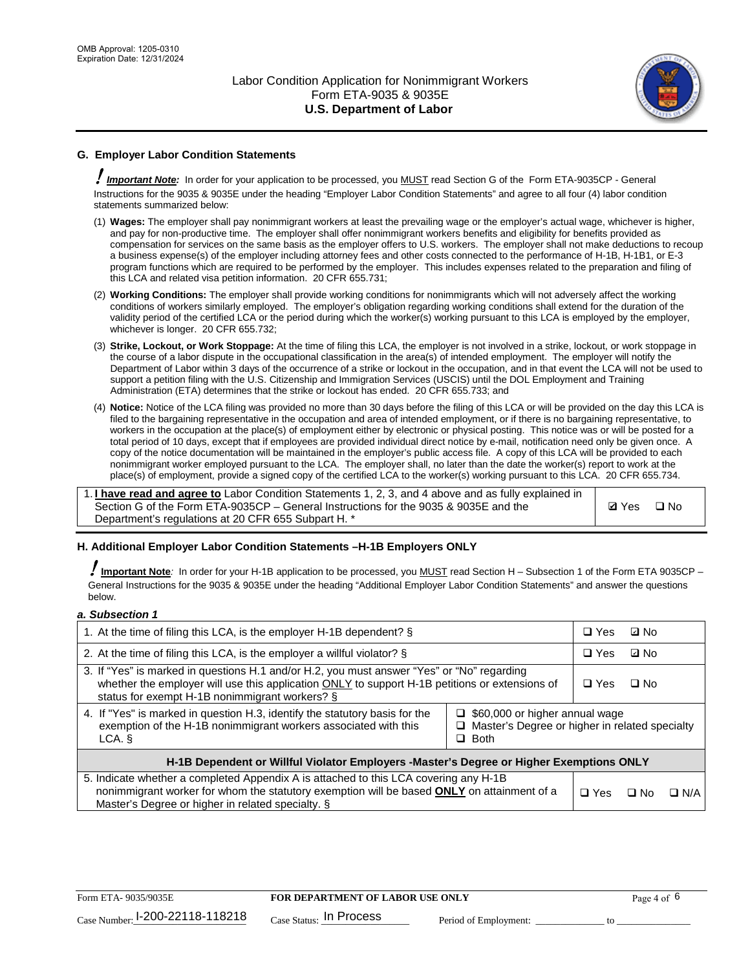

## **G. Employer Labor Condition Statements**

! *Important Note:* In order for your application to be processed, you MUST read Section G of the Form ETA-9035CP - General Instructions for the 9035 & 9035E under the heading "Employer Labor Condition Statements" and agree to all four (4) labor condition statements summarized below:

- (1) **Wages:** The employer shall pay nonimmigrant workers at least the prevailing wage or the employer's actual wage, whichever is higher, and pay for non-productive time. The employer shall offer nonimmigrant workers benefits and eligibility for benefits provided as compensation for services on the same basis as the employer offers to U.S. workers. The employer shall not make deductions to recoup a business expense(s) of the employer including attorney fees and other costs connected to the performance of H-1B, H-1B1, or E-3 program functions which are required to be performed by the employer. This includes expenses related to the preparation and filing of this LCA and related visa petition information. 20 CFR 655.731;
- (2) **Working Conditions:** The employer shall provide working conditions for nonimmigrants which will not adversely affect the working conditions of workers similarly employed. The employer's obligation regarding working conditions shall extend for the duration of the validity period of the certified LCA or the period during which the worker(s) working pursuant to this LCA is employed by the employer, whichever is longer. 20 CFR 655.732;
- (3) **Strike, Lockout, or Work Stoppage:** At the time of filing this LCA, the employer is not involved in a strike, lockout, or work stoppage in the course of a labor dispute in the occupational classification in the area(s) of intended employment. The employer will notify the Department of Labor within 3 days of the occurrence of a strike or lockout in the occupation, and in that event the LCA will not be used to support a petition filing with the U.S. Citizenship and Immigration Services (USCIS) until the DOL Employment and Training Administration (ETA) determines that the strike or lockout has ended. 20 CFR 655.733; and
- (4) **Notice:** Notice of the LCA filing was provided no more than 30 days before the filing of this LCA or will be provided on the day this LCA is filed to the bargaining representative in the occupation and area of intended employment, or if there is no bargaining representative, to workers in the occupation at the place(s) of employment either by electronic or physical posting. This notice was or will be posted for a total period of 10 days, except that if employees are provided individual direct notice by e-mail, notification need only be given once. A copy of the notice documentation will be maintained in the employer's public access file. A copy of this LCA will be provided to each nonimmigrant worker employed pursuant to the LCA. The employer shall, no later than the date the worker(s) report to work at the place(s) of employment, provide a signed copy of the certified LCA to the worker(s) working pursuant to this LCA. 20 CFR 655.734.

1. **I have read and agree to** Labor Condition Statements 1, 2, 3, and 4 above and as fully explained in Section G of the Form ETA-9035CP – General Instructions for the 9035 & 9035E and the Department's regulations at 20 CFR 655 Subpart H. \*

**Ø**Yes ロNo

## **H. Additional Employer Labor Condition Statements –H-1B Employers ONLY**

!**Important Note***:* In order for your H-1B application to be processed, you MUST read Section H – Subsection 1 of the Form ETA 9035CP – General Instructions for the 9035 & 9035E under the heading "Additional Employer Labor Condition Statements" and answer the questions below.

#### *a. Subsection 1*

| 1. At the time of filing this LCA, is the employer H-1B dependent? §                                                                                                                                                                                                 |  |  | ⊡ No |            |
|----------------------------------------------------------------------------------------------------------------------------------------------------------------------------------------------------------------------------------------------------------------------|--|--|------|------------|
| 2. At the time of filing this LCA, is the employer a willful violator? $\S$                                                                                                                                                                                          |  |  | ⊡ No |            |
| 3. If "Yes" is marked in questions H.1 and/or H.2, you must answer "Yes" or "No" regarding<br>whether the employer will use this application ONLY to support H-1B petitions or extensions of<br>status for exempt H-1B nonimmigrant workers? §                       |  |  | ∩ No |            |
| 4. If "Yes" is marked in question H.3, identify the statutory basis for the<br>$\Box$ \$60,000 or higher annual wage<br>exemption of the H-1B nonimmigrant workers associated with this<br>□ Master's Degree or higher in related specialty<br>$\Box$ Both<br>LCA. § |  |  |      |            |
| H-1B Dependent or Willful Violator Employers -Master's Degree or Higher Exemptions ONLY                                                                                                                                                                              |  |  |      |            |
| 5. Indicate whether a completed Appendix A is attached to this LCA covering any H-1B<br>nonimmigrant worker for whom the statutory exemption will be based <b>ONLY</b> on attainment of a<br>Master's Degree or higher in related specialty. §                       |  |  | ⊡ No | $\Box$ N/A |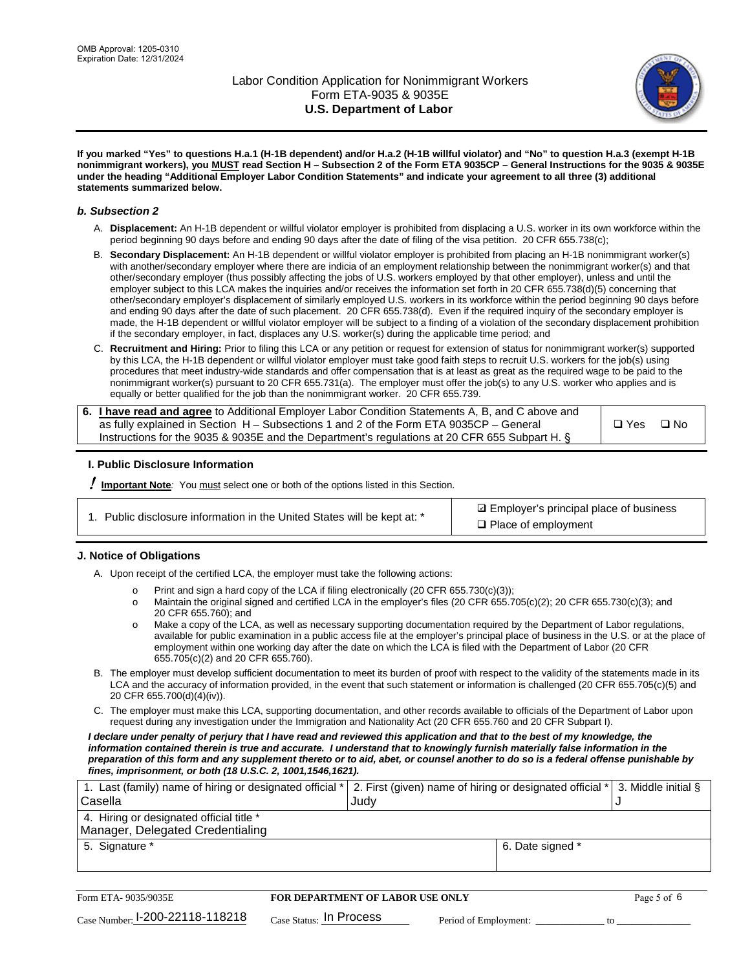

**If you marked "Yes" to questions H.a.1 (H-1B dependent) and/or H.a.2 (H-1B willful violator) and "No" to question H.a.3 (exempt H-1B nonimmigrant workers), you MUST read Section H – Subsection 2 of the Form ETA 9035CP – General Instructions for the 9035 & 9035E under the heading "Additional Employer Labor Condition Statements" and indicate your agreement to all three (3) additional statements summarized below.**

#### *b. Subsection 2*

- A. **Displacement:** An H-1B dependent or willful violator employer is prohibited from displacing a U.S. worker in its own workforce within the period beginning 90 days before and ending 90 days after the date of filing of the visa petition. 20 CFR 655.738(c);
- B. **Secondary Displacement:** An H-1B dependent or willful violator employer is prohibited from placing an H-1B nonimmigrant worker(s) with another/secondary employer where there are indicia of an employment relationship between the nonimmigrant worker(s) and that other/secondary employer (thus possibly affecting the jobs of U.S. workers employed by that other employer), unless and until the employer subject to this LCA makes the inquiries and/or receives the information set forth in 20 CFR 655.738(d)(5) concerning that other/secondary employer's displacement of similarly employed U.S. workers in its workforce within the period beginning 90 days before and ending 90 days after the date of such placement. 20 CFR 655.738(d). Even if the required inquiry of the secondary employer is made, the H-1B dependent or willful violator employer will be subject to a finding of a violation of the secondary displacement prohibition if the secondary employer, in fact, displaces any U.S. worker(s) during the applicable time period; and
- C. **Recruitment and Hiring:** Prior to filing this LCA or any petition or request for extension of status for nonimmigrant worker(s) supported by this LCA, the H-1B dependent or willful violator employer must take good faith steps to recruit U.S. workers for the job(s) using procedures that meet industry-wide standards and offer compensation that is at least as great as the required wage to be paid to the nonimmigrant worker(s) pursuant to 20 CFR 655.731(a). The employer must offer the job(s) to any U.S. worker who applies and is equally or better qualified for the job than the nonimmigrant worker. 20 CFR 655.739.

| 6. I have read and agree to Additional Employer Labor Condition Statements A, B, and C above and |       |           |
|--------------------------------------------------------------------------------------------------|-------|-----------|
| as fully explained in Section H – Subsections 1 and 2 of the Form ETA 9035CP – General           | □ Yes | $\Box$ No |
| Instructions for the 9035 & 9035 E and the Department's regulations at 20 CFR 655 Subpart H. §   |       |           |

## **I. Public Disclosure Information**

! **Important Note***:* You must select one or both of the options listed in this Section.

**sqrt** Employer's principal place of business □ Place of employment

## **J. Notice of Obligations**

A. Upon receipt of the certified LCA, the employer must take the following actions:

- o Print and sign a hard copy of the LCA if filing electronically (20 CFR 655.730(c)(3));<br>
Maintain the original signed and certified LCA in the employer's files (20 CFR 655.7
- Maintain the original signed and certified LCA in the employer's files (20 CFR 655.705(c)(2); 20 CFR 655.730(c)(3); and 20 CFR 655.760); and
- o Make a copy of the LCA, as well as necessary supporting documentation required by the Department of Labor regulations, available for public examination in a public access file at the employer's principal place of business in the U.S. or at the place of employment within one working day after the date on which the LCA is filed with the Department of Labor (20 CFR 655.705(c)(2) and 20 CFR 655.760).
- B. The employer must develop sufficient documentation to meet its burden of proof with respect to the validity of the statements made in its LCA and the accuracy of information provided, in the event that such statement or information is challenged (20 CFR 655.705(c)(5) and 20 CFR 655.700(d)(4)(iv)).
- C. The employer must make this LCA, supporting documentation, and other records available to officials of the Department of Labor upon request during any investigation under the Immigration and Nationality Act (20 CFR 655.760 and 20 CFR Subpart I).

*I declare under penalty of perjury that I have read and reviewed this application and that to the best of my knowledge, the*  information contained therein is true and accurate. I understand that to knowingly furnish materially false information in the *preparation of this form and any supplement thereto or to aid, abet, or counsel another to do so is a federal offense punishable by fines, imprisonment, or both (18 U.S.C. 2, 1001,1546,1621).*

| 1. Last (family) name of hiring or designated official *   2. First (given) name of hiring or designated official *   3. Middle initial § |                  |  |
|-------------------------------------------------------------------------------------------------------------------------------------------|------------------|--|
| Casella                                                                                                                                   | Judv             |  |
| 4. Hiring or designated official title *                                                                                                  |                  |  |
| Manager, Delegated Credentialing                                                                                                          |                  |  |
| 5. Signature *                                                                                                                            | 6. Date signed * |  |
|                                                                                                                                           |                  |  |